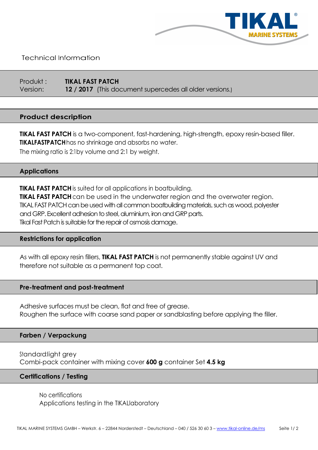

Technical Information

Produkt : TIKAL FAST PATCH Version: 12 / 2017 (This document supercedes all older versions.)

# Product description

**TIKAL FAST PATCH** is a two-component, fast-hardening, high-strength, epoxy resin-based filler. **TIKALFASTPATCH** has no shrinkage and absorbs no water. The mixing ratio is 2:1by volume and 2:1 by weight.

### **Applications**

**TIKAL FAST PATCH** is suited for all applications in boatbuilding. **TIKAL FAST PATCH** can be used in the underwater region and the overwater region. TIKAL FAST PATCH can be used with all common boatbuilding materials, such as wood, polyester and GRP. Excellent adhesion to steel, aluminium, iron and GRP parts. Tikal Fast Patch is suitable for the repair of osmosis damage.

#### Restrictions for application

As with all epoxy resin fillers, TIKAL FAST PATCH is not permanently stable against UV and therefore not suitable as a permanent top coat.

#### Pre-treatment and post-treatment

Adhesive surfaces must be clean, flat and free of grease. Roughen the surface with coarse sand paper or sandblasting before applying the filler.

#### Farben / Verpackung

Standard:light grey Combi-pack container with mixing cover 600 g container Set 4.5 kg

### Certifications / Testing

No certifications Applications testing in the TIKAL laboratory